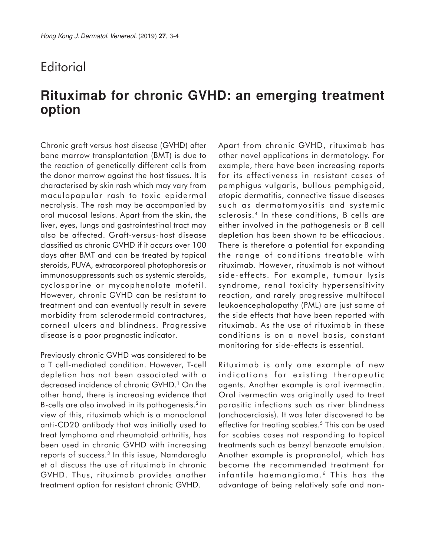## **Editorial**

## **Rituximab for chronic GVHD: an emerging treatment option**

Chronic graft versus host disease (GVHD) after bone marrow transplantation (BMT) is due to the reaction of genetically different cells from the donor marrow against the host tissues. It is characterised by skin rash which may vary from maculopapular rash to toxic epidermal necrolysis. The rash may be accompanied by oral mucosal lesions. Apart from the skin, the liver, eyes, lungs and gastrointestinal tract may also be affected. Graft-versus-host disease classified as chronic GVHD if it occurs over 100 days after BMT and can be treated by topical steroids, PUVA, extracorporeal photophoresis or immunosuppressants such as systemic steroids, cyclosporine or mycophenolate mofetil. However, chronic GVHD can be resistant to treatment and can eventually result in severe morbidity from sclerodermoid contractures, corneal ulcers and blindness. Progressive disease is a poor prognostic indicator.

Previously chronic GVHD was considered to be a T cell-mediated condition. However, T-cell depletion has not been associated with a decreased incidence of chronic GVHD.' On the other hand, there is increasing evidence that B-cells are also involved in its pathogenesis.<sup>2</sup> in view of this, rituximab which is a monoclonal anti-CD20 antibody that was initially used to treat lymphoma and rheumatoid arthritis, has been used in chronic GVHD with increasing reports of success.<sup>3</sup> In this issue, Namdaroglu et al discuss the use of rituximab in chronic GVHD. Thus, rituximab provides another treatment option for resistant chronic GVHD.

Apart from chronic GVHD, rituximab has other novel applications in dermatology. For example, there have been increasing reports for its effectiveness in resistant cases of pemphigus vulgaris, bullous pemphigoid, atopic dermatitis, connective tissue diseases such as dermatomyositis and systemic sclerosis.<sup>4</sup> In these conditions, B cells are either involved in the pathogenesis or B cell depletion has been shown to be efficacious. There is therefore a potential for expanding the range of conditions treatable with rituximab. However, rituximab is not without side - effects. For example, tumour lysis syndrome, renal toxicity hypersensitivity reaction, and rarely progressive multifocal leukoencephalopathy (PML) are just some of the side effects that have been reported with rituximab. As the use of rituximab in these conditions is on a novel basis, constant monitoring for side-effects is essential.

Rituximab is only one example of new indications for existing therapeutic agents. Another example is oral ivermectin. Oral ivermectin was originally used to treat parasitic infections such as river blindness (onchocerciasis). It was later discovered to be effective for treating scabies.<sup>5</sup> This can be used for scabies cases not responding to topical treatments such as benzyl benzoate emulsion. Another example is propranolol, which has become the recommended treatment for infantile haemangioma.<sup>6</sup> This has the advantage of being relatively safe and non